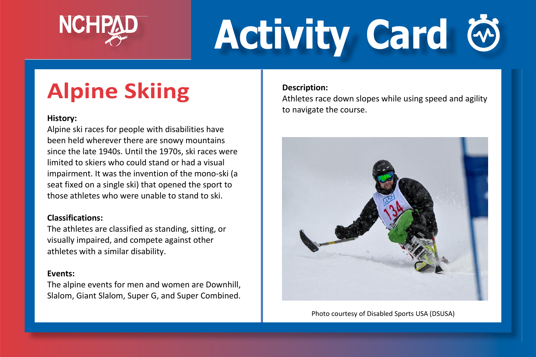

# **Activity Card**

### **Alpine Skiing**

#### **History:**

Alpine ski races for people with disabilities have been held wherever there are snowy mountains since the late 1940s. Until the 1970s, ski races were limited to skiers who could stand or had a visual impairment. It was the invention of the mono-ski (a seat fixed on a single ski) that opened the sport to those athletes who were unable to stand to ski.

#### **Classifications:**

The athletes are classified as standing, sitting, or visually impaired, and compete against other athletes with a similar disability.

#### **Events:**

The alpine events for men and women are Downhill, Slalom, Giant Slalom, Super G, and Super Combined.

#### **Description:**

Athletes race down slopes while using speed and agility to navigate the course.



Photo courtesy of Disabled Sports USA (DSUSA)